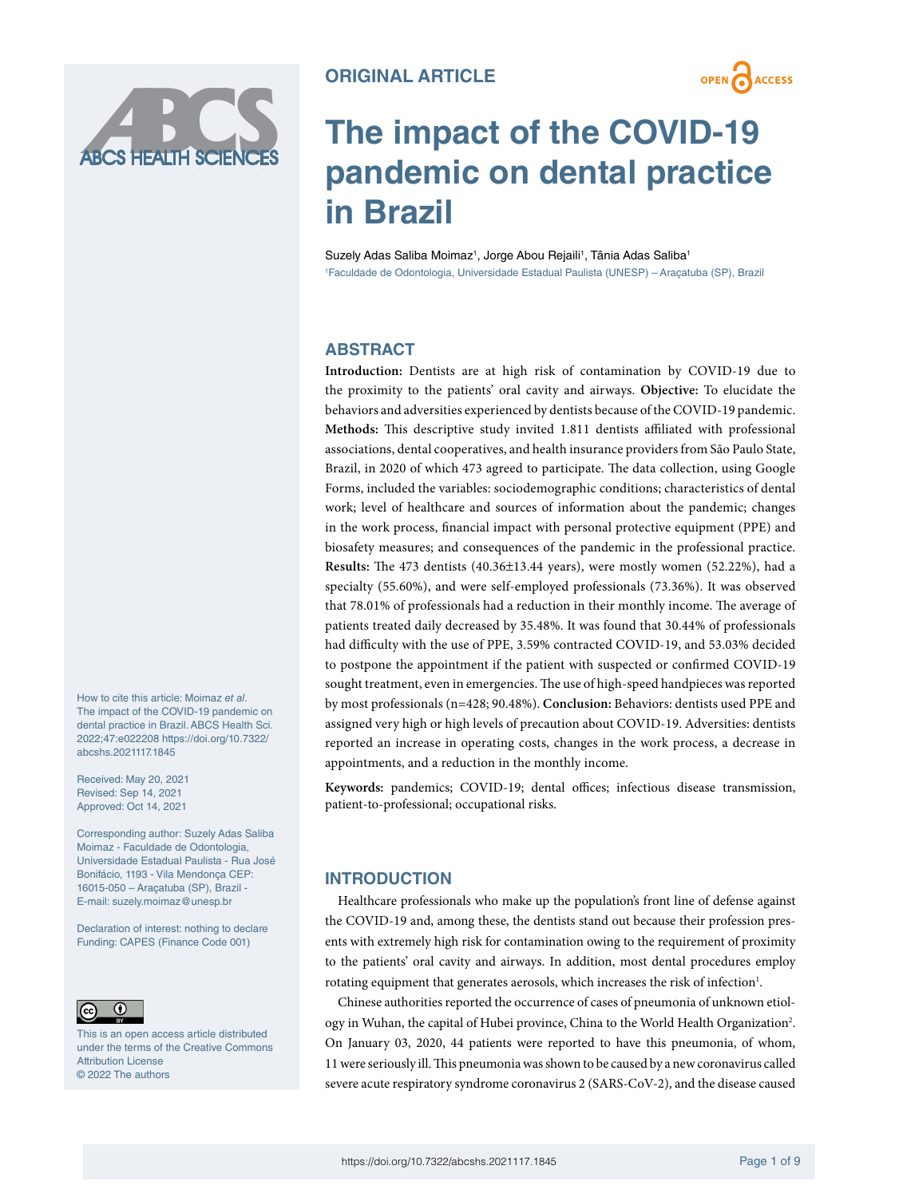

# **The impact of the COVID-19 pandemic on dental practice in Brazil**

Suzely Adas Saliba Moimaz<sup>1</sup>, Jorge Abou Rejaili<sup>1</sup>, Tânia Adas Saliba<sup>1</sup> 1 Faculdade de Odontologia, Universidade Estadual Paulista (UNESP) – Araçatuba (SP), Brazil

# **ABSTRACT**

**Introduction:** Dentists are at high risk of contamination by COVID-19 due to the proximity to the patients' oral cavity and airways. **Objective:** To elucidate the behaviors and adversities experienced by dentists because of the COVID-19 pandemic. **Methods:**  This descriptive study invited 1.811 dentists affiliated with professional associations, dental cooperatives, and health insurance providers from São Paulo State, Brazil, in 2020 of which 473 agreed to participate. The data collection, using Google Forms, included the variables: sociodemographic conditions; characteristics of dental work; level of healthcare and sources of information about the pandemic; changes in the work process, financial impact with personal protective equipment (PPE) and biosafety measures; and consequences of the pandemic in the professional practice. **Results:** The 473 dentists (40.36±13.44 years), were mostly women (52.22%), had a specialty (55.60%), and were self-employed professionals (73.36%). It was observed that 78.01% of professionals had a reduction in their monthly income. The average of patients treated daily decreased by 35.48%. It was found that 30.44% of professionals had difficulty with the use of PPE, 3.59% contracted COVID-19, and 53.03% decided to postpone the appointment if the patient with suspected or confirmed COVID-19 sought treatment, even in emergencies. The use of high-speed handpieces was reported by most professionals (n=428; 90.48%). **Conclusion:** Behaviors: dentists used PPE and assigned very high or high levels of precaution about COVID-19. Adversities: dentists reported an increase in operating costs, changes in the work process, a decrease in appointments, and a reduction in the monthly income.

**Keywords:** pandemics; COVID-19; dental offices; infectious disease transmission, patient-to-professional; occupational risks.

# **INTRODUCTION**

Healthcare professionals who make up the population's front line of defense against the COVID-19 and, among these, the dentists stand out because their profession presents with extremely high risk for contamination owing to the requirement of proximity to the patients' oral cavity and airways. In addition, most dental procedures employ rotating equipment that generates aerosols, which increases the risk of infection<sup>1</sup>.

Chinese authorities reported the occurrence of cases of pneumonia of unknown etiology in Wuhan, the capital of Hubei province, China to the World Health Organization<sup>2</sup>. On January 03, 2020, 44 patients were reported to have this pneumonia, of whom, 11 were seriously ill. This pneumonia was shown to be caused by a new coronavirus called severe acute respiratory syndrome coronavirus 2 (SARS-CoV-2), and the disease caused

How to cite this article: Moimaz *et al*. The impact of the COVID-19 pandemic on dental practice in Brazil. ABCS Health Sci. 2022;47:e022208 [https://doi.org/10.7322/](https://doi.org/10.7322/abcshs.2021117.1845) [abcshs.2021117.1845](https://doi.org/10.7322/abcshs.2021117.1845)

Received: May 20, 2021 Revised: Sep 14, 2021 Approved: Oct 14, 2021

Corresponding author: Suzely Adas Saliba Moimaz - Faculdade de Odontologia, Universidade Estadual Paulista - Rua José Bonifácio, 1193 - Vila Mendonça CEP: 16015-050 – Araçatuba (SP), Brazil - E-mail: [suzely.moimaz@unesp.br](mailto:suzely.moimaz@unesp.br)

Declaration of interest: nothing to declare Funding: CAPES (Finance Code 001)



This is an open access article distributed under the terms of the Creative Commons Attribution License © 2022 The authors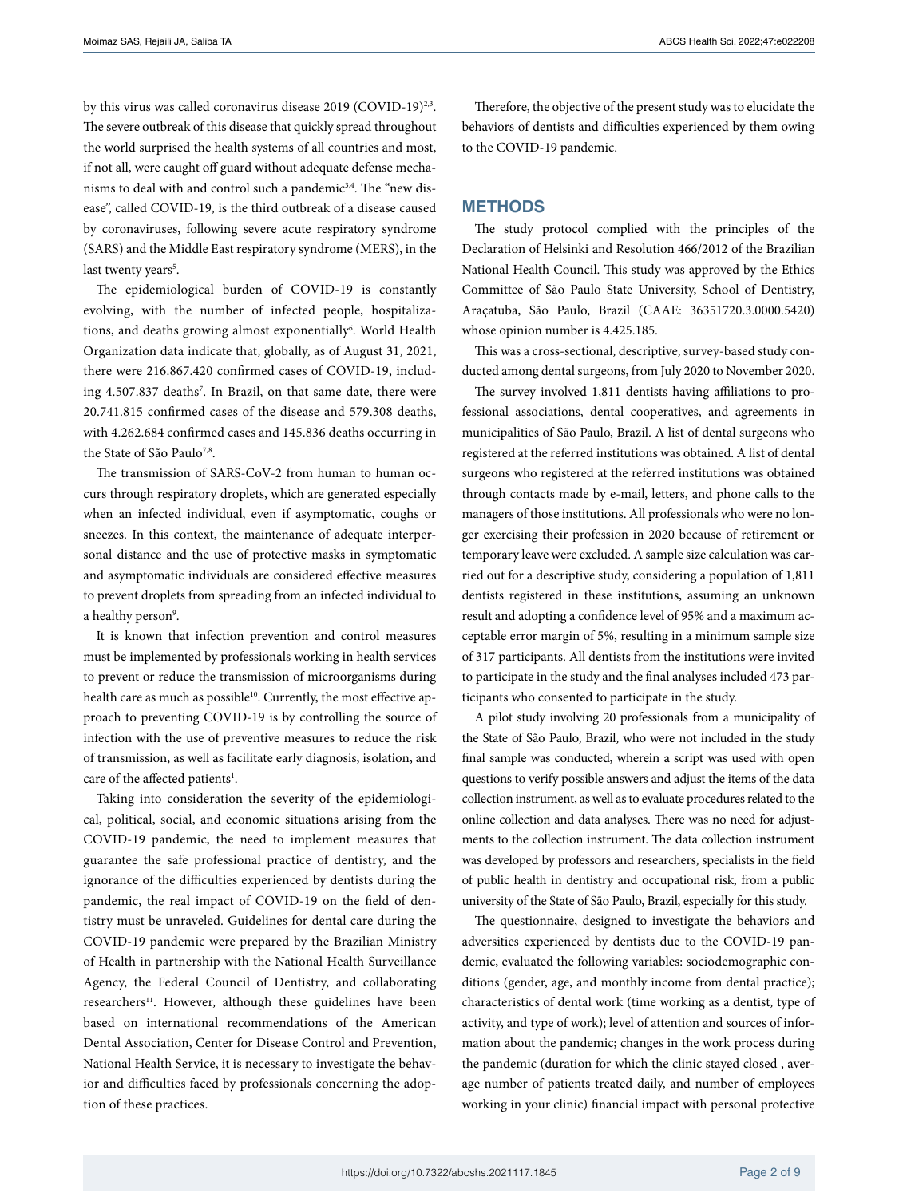by this virus was called coronavirus disease 2019 (COVID-19)<sup>2,3</sup>. The severe outbreak of this disease that quickly spread throughout the world surprised the health systems of all countries and most, if not all, were caught off guard without adequate defense mechanisms to deal with and control such a pandemic<sup>3,4</sup>. The "new disease", called COVID-19, is the third outbreak of a disease caused by coronaviruses, following severe acute respiratory syndrome (SARS) and the Middle East respiratory syndrome (MERS), in the last twenty years<sup>5</sup>.

The epidemiological burden of COVID-19 is constantly evolving, with the number of infected people, hospitalizations, and deaths growing almost exponentially<sup>6</sup>. World Health Organization data indicate that, globally, as of August 31, 2021, there were 216.867.420 confirmed cases of COVID-19, including 4.507.837 deaths<sup>7</sup>. In Brazil, on that same date, there were 20.741.815 confirmed cases of the disease and 579.308 deaths, with 4.262.684 confirmed cases and 145.836 deaths occurring in the State of São Paulo<sup>7,8</sup>.

The transmission of SARS-CoV-2 from human to human occurs through respiratory droplets, which are generated especially when an infected individual, even if asymptomatic, coughs or sneezes. In this context, the maintenance of adequate interpersonal distance and the use of protective masks in symptomatic and asymptomatic individuals are considered effective measures to prevent droplets from spreading from an infected individual to a healthy person°.

It is known that infection prevention and control measures must be implemented by professionals working in health services to prevent or reduce the transmission of microorganisms during health care as much as possible<sup>10</sup>. Currently, the most effective approach to preventing COVID-19 is by controlling the source of infection with the use of preventive measures to reduce the risk of transmission, as well as facilitate early diagnosis, isolation, and care of the affected patients<sup>1</sup>.

Taking into consideration the severity of the epidemiological, political, social, and economic situations arising from the COVID-19 pandemic, the need to implement measures that guarantee the safe professional practice of dentistry, and the ignorance of the difficulties experienced by dentists during the pandemic, the real impact of COVID-19 on the field of dentistry must be unraveled. Guidelines for dental care during the COVID-19 pandemic were prepared by the Brazilian Ministry of Health in partnership with the National Health Surveillance Agency, the Federal Council of Dentistry, and collaborating researchers<sup>11</sup>. However, although these guidelines have been based on international recommendations of the American Dental Association, Center for Disease Control and Prevention, National Health Service, it is necessary to investigate the behavior and difficulties faced by professionals concerning the adoption of these practices.

Therefore, the objective of the present study was to elucidate the behaviors of dentists and difficulties experienced by them owing to the COVID-19 pandemic.

## **METHODS**

The study protocol complied with the principles of the Declaration of Helsinki and Resolution 466/2012 of the Brazilian National Health Council. This study was approved by the Ethics Committee of São Paulo State University, School of Dentistry, Araçatuba, São Paulo, Brazil (CAAE: 36351720.3.0000.5420) whose opinion number is 4.425.185.

This was a cross-sectional, descriptive, survey-based study conducted among dental surgeons, from July 2020 to November 2020.

The survey involved 1,811 dentists having affiliations to professional associations, dental cooperatives, and agreements in municipalities of São Paulo, Brazil. A list of dental surgeons who registered at the referred institutions was obtained. A list of dental surgeons who registered at the referred institutions was obtained through contacts made by e-mail, letters, and phone calls to the managers of those institutions. All professionals who were no longer exercising their profession in 2020 because of retirement or temporary leave were excluded. A sample size calculation was carried out for a descriptive study, considering a population of 1,811 dentists registered in these institutions, assuming an unknown result and adopting a confidence level of 95% and a maximum acceptable error margin of 5%, resulting in a minimum sample size of 317 participants. All dentists from the institutions were invited to participate in the study and the final analyses included 473 participants who consented to participate in the study.

A pilot study involving 20 professionals from a municipality of the State of São Paulo, Brazil, who were not included in the study final sample was conducted, wherein a script was used with open questions to verify possible answers and adjust the items of the data collection instrument, as well as to evaluate procedures related to the online collection and data analyses. There was no need for adjustments to the collection instrument. The data collection instrument was developed by professors and researchers, specialists in the field of public health in dentistry and occupational risk, from a public university of the State of São Paulo, Brazil, especially for this study.

The questionnaire, designed to investigate the behaviors and adversities experienced by dentists due to the COVID-19 pandemic, evaluated the following variables: sociodemographic conditions (gender, age, and monthly income from dental practice); characteristics of dental work (time working as a dentist, type of activity, and type of work); level of attention and sources of information about the pandemic; changes in the work process during the pandemic (duration for which the clinic stayed closed , average number of patients treated daily, and number of employees working in your clinic) financial impact with personal protective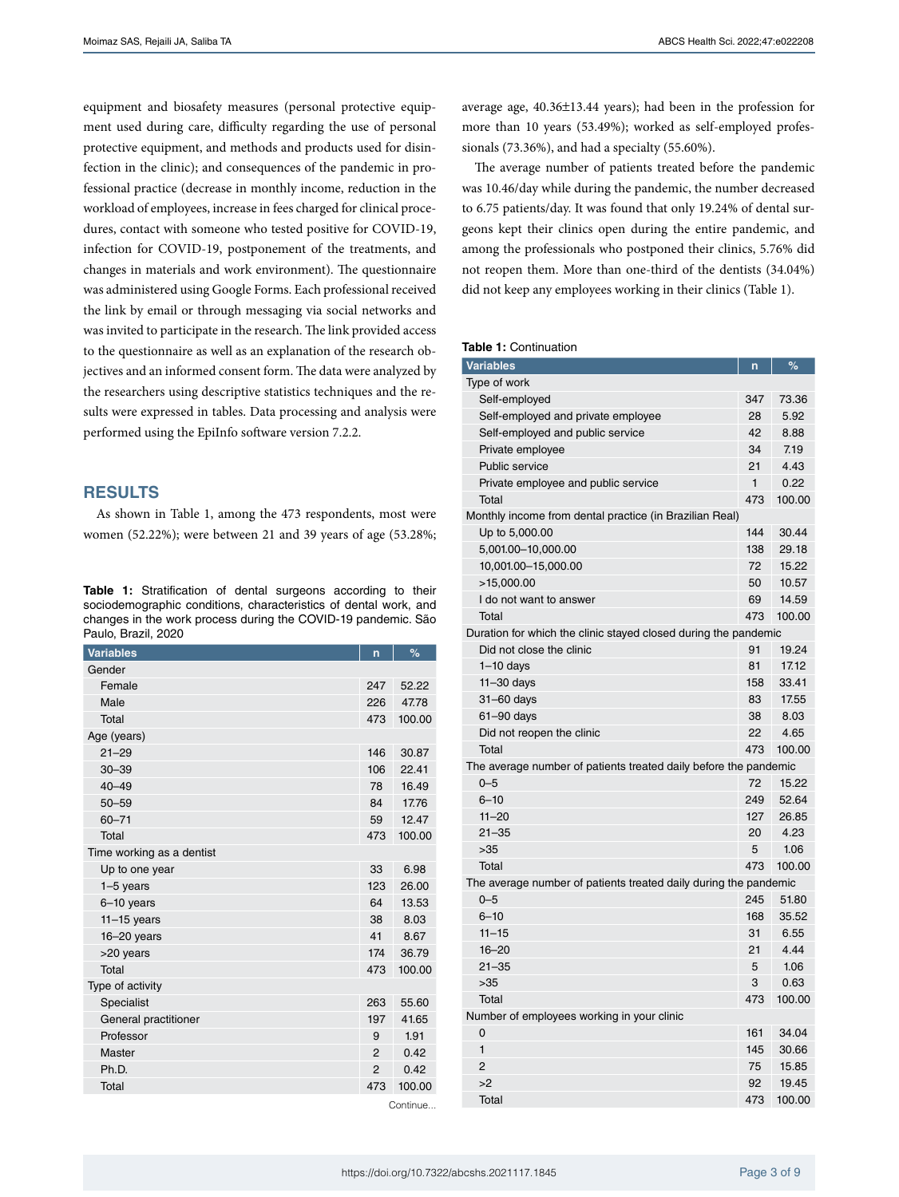equipment and biosafety measures (personal protective equipment used during care, difficulty regarding the use of personal protective equipment, and methods and products used for disinfection in the clinic); and consequences of the pandemic in professional practice (decrease in monthly income, reduction in the workload of employees, increase in fees charged for clinical procedures, contact with someone who tested positive for COVID-19, infection for COVID-19, postponement of the treatments, and changes in materials and work environment). The questionnaire was administered using Google Forms. Each professional received the link by email or through messaging via social networks and was invited to participate in the research. The link provided access to the questionnaire as well as an explanation of the research objectives and an informed consent form. The data were analyzed by the researchers using descriptive statistics techniques and the results were expressed in tables. Data processing and analysis were performed using the EpiInfo software version 7.2.2.

# **RESULTS**

As shown in Table 1, among the 473 respondents, most were women (52.22%); were between 21 and 39 years of age (53.28%;

**Table 1:** Stratification of dental surgeons according to their sociodemographic conditions, characteristics of dental work, and changes in the work process during the COVID-19 pandemic. São Paulo, Brazil, 2020

| <b>Variables</b>          | n              | %      |  |
|---------------------------|----------------|--------|--|
| Gender                    |                |        |  |
| Female                    | 247            | 52.22  |  |
| Male                      | 226            | 47.78  |  |
| Total                     | 473            | 100.00 |  |
| Age (years)               |                |        |  |
| $21 - 29$                 | 146            | 30.87  |  |
| $30 - 39$                 | 106            | 22.41  |  |
| $40 - 49$                 | 78             | 16.49  |  |
| $50 - 59$                 | 84             | 17.76  |  |
| $60 - 71$                 | 59             | 12.47  |  |
| Total                     | 473            | 100.00 |  |
| Time working as a dentist |                |        |  |
| Up to one year            | 33             | 6.98   |  |
| $1-5$ years               | 123            | 26.00  |  |
| $6-10$ years              | 64             | 13.53  |  |
| $11 - 15$ years           | 38             | 8.03   |  |
| $16 - 20$ years           | 41             | 8.67   |  |
| >20 years                 | 174            | 36.79  |  |
| Total                     | 473            | 100.00 |  |
| Type of activity          |                |        |  |
| Specialist                | 263            | 55.60  |  |
| General practitioner      | 197            | 41.65  |  |
| Professor                 | 9              | 1.91   |  |
| Master                    | $\overline{2}$ | 0.42   |  |
| Ph.D.                     | $\overline{2}$ | 0.42   |  |
| Total                     | 473            | 100.00 |  |
|                           | Continue.      |        |  |

average age, 40.36±13.44 years); had been in the profession for more than 10 years (53.49%); worked as self-employed professionals (73.36%), and had a specialty (55.60%).

The average number of patients treated before the pandemic was 10.46/day while during the pandemic, the number decreased to 6.75 patients/day. It was found that only 19.24% of dental surgeons kept their clinics open during the entire pandemic, and among the professionals who postponed their clinics, 5.76% did not reopen them. More than one-third of the dentists (34.04%) did not keep any employees working in their clinics (Table 1).

#### **Table 1:** Continuation

| <b>Variables</b>                                                 | n            | %      |  |
|------------------------------------------------------------------|--------------|--------|--|
| Type of work                                                     |              |        |  |
| Self-employed                                                    | 347          | 73.36  |  |
| Self-employed and private employee                               | 28           | 5.92   |  |
| Self-employed and public service                                 | 42           | 8.88   |  |
| Private employee                                                 | 34           | 7.19   |  |
| Public service                                                   | 21           | 4.43   |  |
| Private employee and public service                              | $\mathbf{1}$ | 0.22   |  |
| Total                                                            | 473          | 100.00 |  |
| Monthly income from dental practice (in Brazilian Real)          |              |        |  |
| Up to 5,000.00                                                   | 144          | 30.44  |  |
| 5,001.00-10,000.00                                               | 138          | 29.18  |  |
| 10,001.00-15,000.00                                              | 72           | 15.22  |  |
| >15,000.00                                                       | 50           | 10.57  |  |
| I do not want to answer                                          | 69           | 14.59  |  |
| Total                                                            | 473          | 100.00 |  |
| Duration for which the clinic stayed closed during the pandemic  |              |        |  |
| Did not close the clinic                                         | 91           | 19.24  |  |
| $1-10$ days                                                      | 81           | 17.12  |  |
| $11 - 30$ days                                                   | 158          | 33.41  |  |
| $31 - 60$ days                                                   | 83           | 17.55  |  |
| 61-90 days                                                       | 38           | 8.03   |  |
| Did not reopen the clinic                                        | 22           | 4.65   |  |
| Total                                                            | 473          | 100.00 |  |
| The average number of patients treated daily before the pandemic |              |        |  |
| $0 - 5$                                                          | 72           | 15.22  |  |
| $6 - 10$                                                         | 249          | 52.64  |  |
| $11 - 20$                                                        | 127          | 26.85  |  |
| $21 - 35$                                                        | 20           | 4.23   |  |
| >35                                                              | 5            | 1.06   |  |
| Total                                                            | 473          | 100.00 |  |
| The average number of patients treated daily during the pandemic |              |        |  |
| $0 - 5$                                                          | 245          | 51.80  |  |
| $6 - 10$                                                         | 168          | 35.52  |  |
| $11 - 15$                                                        | 31           | 6.55   |  |
| $16 - 20$                                                        | 21           | 4.44   |  |
| $21 - 35$                                                        | 5            | 1.06   |  |
| >35                                                              | 3            | 0.63   |  |
| Total                                                            | 473          | 100.00 |  |
| Number of employees working in your clinic                       |              |        |  |
| 0                                                                | 161          | 34.04  |  |
| $\mathbf{1}$                                                     | 145          | 30.66  |  |
| $\overline{2}$                                                   | 75           | 15.85  |  |
| >2                                                               | 92           | 19.45  |  |
| Total                                                            | 473          | 100.00 |  |
|                                                                  |              |        |  |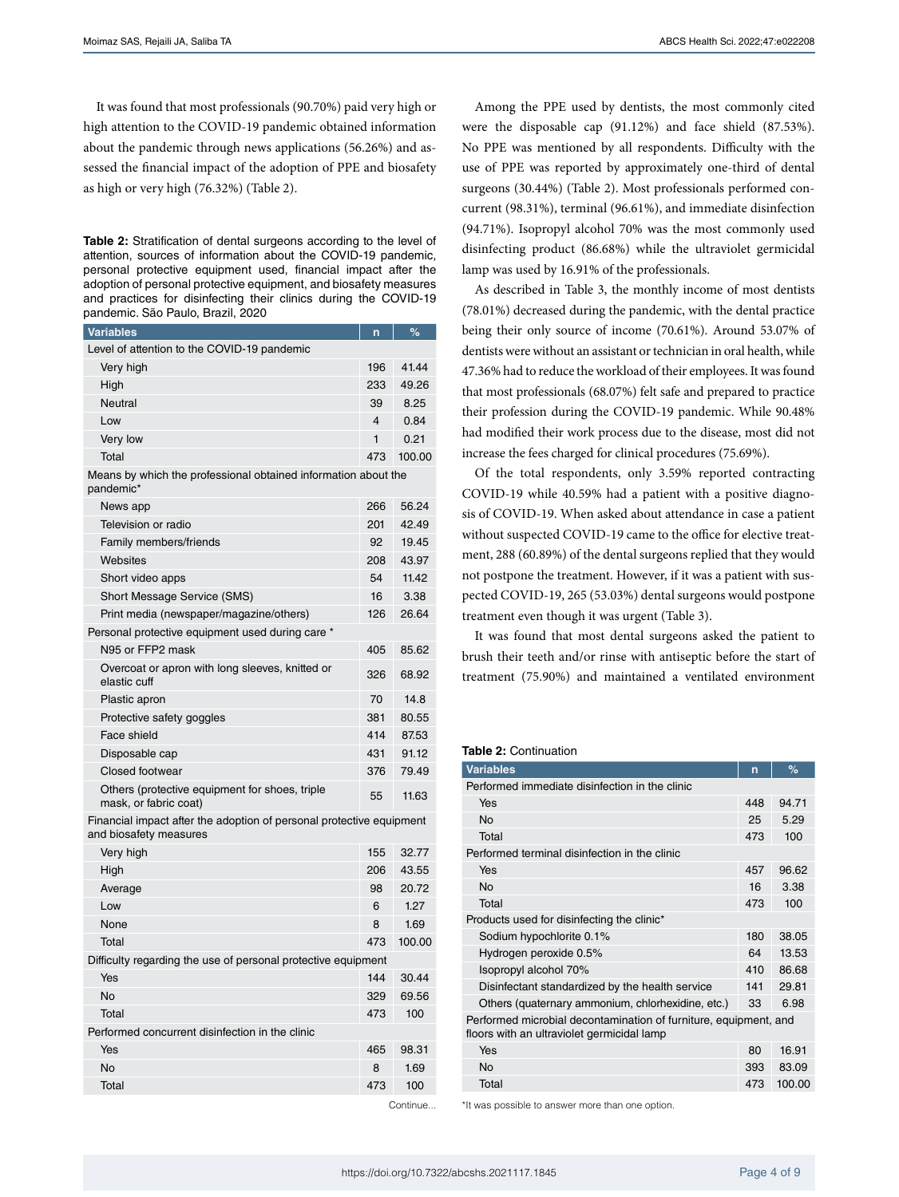It was found that most professionals (90.70%) paid very high or high attention to the COVID-19 pandemic obtained information about the pandemic through news applications (56.26%) and assessed the financial impact of the adoption of PPE and biosafety as high or very high (76.32%) (Table 2).

**Table 2:** Stratification of dental surgeons according to the level of attention, sources of information about the COVID-19 pandemic, personal protective equipment used, financial impact after the adoption of personal protective equipment, and biosafety measures and practices for disinfecting their clinics during the COVID-19 pandemic. São Paulo, Brazil, 2020

| <b>Variables</b>                                                                               | n   | ℅        |
|------------------------------------------------------------------------------------------------|-----|----------|
| Level of attention to the COVID-19 pandemic                                                    |     |          |
| Very high                                                                                      | 196 | 41.44    |
| High                                                                                           | 233 | 49.26    |
| Neutral                                                                                        | 39  | 8.25     |
| Low                                                                                            | 4   | 0.84     |
| Very low                                                                                       | 1   | 0.21     |
| Total                                                                                          | 473 | 100.00   |
| Means by which the professional obtained information about the<br>pandemic*                    |     |          |
| News app                                                                                       | 266 | 56.24    |
| Television or radio                                                                            | 201 | 42.49    |
| Family members/friends                                                                         | 92  | 19.45    |
| Websites                                                                                       | 208 | 43.97    |
| Short video apps                                                                               | 54  | 11.42    |
| Short Message Service (SMS)                                                                    | 16  | 3.38     |
| Print media (newspaper/magazine/others)                                                        | 126 | 26.64    |
| Personal protective equipment used during care *                                               |     |          |
| N95 or FFP2 mask                                                                               | 405 | 85.62    |
| Overcoat or apron with long sleeves, knitted or<br>elastic cuff                                | 326 | 68.92    |
| Plastic apron                                                                                  | 70  | 14.8     |
| Protective safety goggles                                                                      | 381 | 80.55    |
| Face shield                                                                                    | 414 | 87.53    |
| Disposable cap                                                                                 | 431 | 91.12    |
| Closed footwear                                                                                | 376 | 79.49    |
| Others (protective equipment for shoes, triple<br>mask, or fabric coat)                        | 55  | 11.63    |
| Financial impact after the adoption of personal protective equipment<br>and biosafety measures |     |          |
| Very high                                                                                      | 155 | 32.77    |
| High                                                                                           | 206 | 43.55    |
| Average                                                                                        | 98  | 20.72    |
| Low                                                                                            | 6   | 1.27     |
| None                                                                                           | 8   | 1.69     |
| Total                                                                                          | 473 | 100.00   |
| Difficulty regarding the use of personal protective equipment                                  |     |          |
| Yes                                                                                            | 144 | 30.44    |
| <b>No</b>                                                                                      | 329 | 69.56    |
| Total                                                                                          | 473 | 100      |
| Performed concurrent disinfection in the clinic                                                |     |          |
| Yes                                                                                            | 465 | 98.31    |
| <b>No</b>                                                                                      | 8   | 1.69     |
| Total                                                                                          | 473 | 100      |
|                                                                                                |     | Continue |

Among the PPE used by dentists, the most commonly cited were the disposable cap (91.12%) and face shield (87.53%). No PPE was mentioned by all respondents. Difficulty with the use of PPE was reported by approximately one-third of dental surgeons (30.44%) (Table 2). Most professionals performed concurrent (98.31%), terminal (96.61%), and immediate disinfection (94.71%). Isopropyl alcohol 70% was the most commonly used disinfecting product (86.68%) while the ultraviolet germicidal lamp was used by 16.91% of the professionals.

As described in Table 3, the monthly income of most dentists (78.01%) decreased during the pandemic, with the dental practice being their only source of income (70.61%). Around 53.07% of dentists were without an assistant or technician in oral health, while 47.36% had to reduce the workload of their employees. It was found that most professionals (68.07%) felt safe and prepared to practice their profession during the COVID-19 pandemic. While 90.48% had modified their work process due to the disease, most did not increase the fees charged for clinical procedures (75.69%).

Of the total respondents, only 3.59% reported contracting COVID-19 while 40.59% had a patient with a positive diagnosis of COVID-19. When asked about attendance in case a patient without suspected COVID-19 came to the office for elective treatment, 288 (60.89%) of the dental surgeons replied that they would not postpone the treatment. However, if it was a patient with suspected COVID-19, 265 (53.03%) dental surgeons would postpone treatment even though it was urgent (Table 3).

It was found that most dental surgeons asked the patient to brush their teeth and/or rinse with antiseptic before the start of treatment (75.90%) and maintained a ventilated environment

#### **Table 2:** Continuation

| <b>Variables</b>                                                                                               | n   | %      |  |  |  |
|----------------------------------------------------------------------------------------------------------------|-----|--------|--|--|--|
| Performed immediate disinfection in the clinic                                                                 |     |        |  |  |  |
| Yes                                                                                                            | 448 | 94.71  |  |  |  |
| <b>No</b>                                                                                                      | 25  | 5.29   |  |  |  |
| Total                                                                                                          | 473 | 100    |  |  |  |
| Performed terminal disinfection in the clinic                                                                  |     |        |  |  |  |
| Yes                                                                                                            | 457 | 96.62  |  |  |  |
| <b>No</b>                                                                                                      | 16  | 3.38   |  |  |  |
| Total                                                                                                          | 473 | 100    |  |  |  |
| Products used for disinfecting the clinic*                                                                     |     |        |  |  |  |
| Sodium hypochlorite 0.1%                                                                                       | 180 | 38.05  |  |  |  |
| Hydrogen peroxide 0.5%                                                                                         | 64  | 13.53  |  |  |  |
| Isopropyl alcohol 70%                                                                                          | 410 | 86.68  |  |  |  |
| Disinfectant standardized by the health service                                                                | 141 | 29.81  |  |  |  |
| Others (quaternary ammonium, chlorhexidine, etc.)                                                              | 33  | 6.98   |  |  |  |
| Performed microbial decontamination of furniture, equipment, and<br>floors with an ultraviolet germicidal lamp |     |        |  |  |  |
| Yes                                                                                                            | 80  | 16.91  |  |  |  |
| <b>No</b>                                                                                                      | 393 | 83.09  |  |  |  |
| Total                                                                                                          | 473 | 100.00 |  |  |  |

\*It was possible to answer more than one option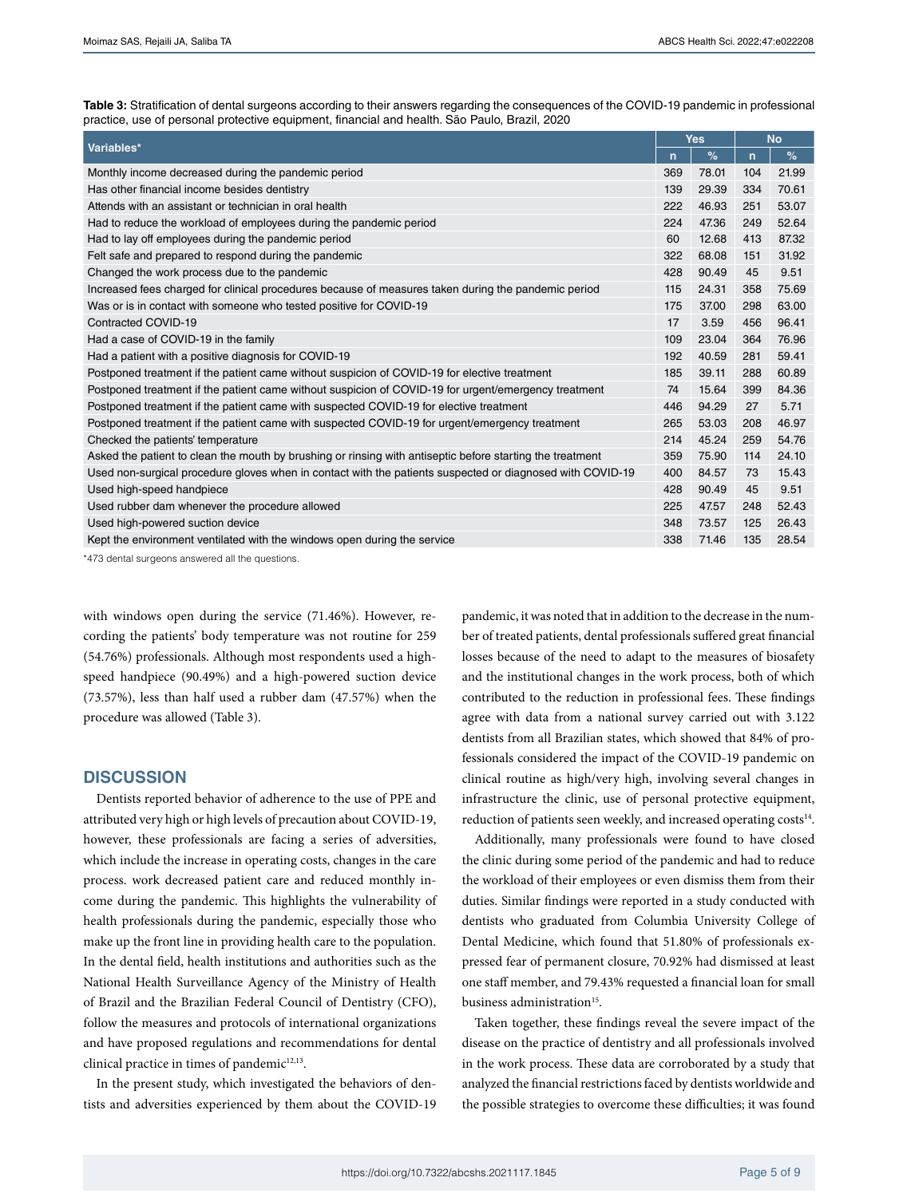**Table 3:** Stratification of dental surgeons according to their answers regarding the consequences of the COVID-19 pandemic in professional practice, use of personal protective equipment, financial and health. São Paulo, Brazil, 2020

| Variables*                                                                                                | <b>Yes</b>   |       | <b>No</b>    |       |
|-----------------------------------------------------------------------------------------------------------|--------------|-------|--------------|-------|
|                                                                                                           | $\mathsf{n}$ | %     | $\mathsf{n}$ | $\%$  |
| Monthly income decreased during the pandemic period                                                       | 369          | 78.01 | 104          | 21.99 |
| Has other financial income besides dentistry                                                              | 139          | 29.39 | 334          | 70.61 |
| Attends with an assistant or technician in oral health                                                    | 222          | 46.93 | 251          | 53.07 |
| Had to reduce the workload of employees during the pandemic period                                        | 224          | 47.36 | 249          | 52.64 |
| Had to lay off employees during the pandemic period                                                       | 60           | 12.68 | 413          | 87.32 |
| Felt safe and prepared to respond during the pandemic                                                     | 322          | 68.08 | 151          | 31.92 |
| Changed the work process due to the pandemic                                                              | 428          | 90.49 | 45           | 9.51  |
| Increased fees charged for clinical procedures because of measures taken during the pandemic period       | 115          | 24.31 | 358          | 75.69 |
| Was or is in contact with someone who tested positive for COVID-19                                        | 175          | 37.00 | 298          | 63.00 |
| Contracted COVID-19                                                                                       | 17           | 3.59  | 456          | 96.41 |
| Had a case of COVID-19 in the family                                                                      | 109          | 23.04 | 364          | 76.96 |
| Had a patient with a positive diagnosis for COVID-19                                                      | 192          | 40.59 | 281          | 59.41 |
| Postponed treatment if the patient came without suspicion of COVID-19 for elective treatment              | 185          | 39.11 | 288          | 60.89 |
| Postponed treatment if the patient came without suspicion of COVID-19 for urgent/emergency treatment      | 74           | 15.64 | 399          | 84.36 |
| Postponed treatment if the patient came with suspected COVID-19 for elective treatment                    | 446          | 94.29 | 27           | 5.71  |
| Postponed treatment if the patient came with suspected COVID-19 for urgent/emergency treatment            | 265          | 53.03 | 208          | 46.97 |
| Checked the patients' temperature                                                                         | 214          | 45.24 | 259          | 54.76 |
| Asked the patient to clean the mouth by brushing or rinsing with antiseptic before starting the treatment | 359          | 75.90 | 114          | 24.10 |
| Used non-surgical procedure gloves when in contact with the patients suspected or diagnosed with COVID-19 | 400          | 84.57 | 73           | 15.43 |
| Used high-speed handpiece                                                                                 | 428          | 90.49 | 45           | 9.51  |
| Used rubber dam whenever the procedure allowed                                                            | 225          | 47.57 | 248          | 52.43 |
| Used high-powered suction device                                                                          | 348          | 73.57 | 125          | 26.43 |
| Kept the environment ventilated with the windows open during the service                                  | 338          | 71.46 | 135          | 28.54 |

\*473 dental surgeons answered all the questions.

with windows open during the service (71.46%). However, recording the patients' body temperature was not routine for 259 (54.76%) professionals. Although most respondents used a highspeed handpiece (90.49%) and a high-powered suction device (73.57%), less than half used a rubber dam (47.57%) when the procedure was allowed (Table 3).

## **DISCUSSION**

Dentists reported behavior of adherence to the use of PPE and attributed very high or high levels of precaution about COVID-19, however, these professionals are facing a series of adversities, which include the increase in operating costs, changes in the care process. work decreased patient care and reduced monthly income during the pandemic. This highlights the vulnerability of health professionals during the pandemic, especially those who make up the front line in providing health care to the population. In the dental field, health institutions and authorities such as the National Health Surveillance Agency of the Ministry of Health of Brazil and the Brazilian Federal Council of Dentistry (CFO), follow the measures and protocols of international organizations and have proposed regulations and recommendations for dental clinical practice in times of pandemic<sup>12,13</sup>.

In the present study, which investigated the behaviors of dentists and adversities experienced by them about the COVID-19 pandemic, it was noted that in addition to the decrease in the number of treated patients, dental professionals suffered great financial losses because of the need to adapt to the measures of biosafety and the institutional changes in the work process, both of which contributed to the reduction in professional fees. These findings agree with data from a national survey carried out with 3.122 dentists from all Brazilian states, which showed that 84% of professionals considered the impact of the COVID-19 pandemic on clinical routine as high/very high, involving several changes in infrastructure the clinic, use of personal protective equipment, reduction of patients seen weekly, and increased operating costs<sup>14</sup>.

Additionally, many professionals were found to have closed the clinic during some period of the pandemic and had to reduce the workload of their employees or even dismiss them from their duties. Similar findings were reported in a study conducted with dentists who graduated from Columbia University College of Dental Medicine, which found that 51.80% of professionals expressed fear of permanent closure, 70.92% had dismissed at least one staff member, and 79.43% requested a financial loan for small business administration<sup>15</sup>.

Taken together, these findings reveal the severe impact of the disease on the practice of dentistry and all professionals involved in the work process. These data are corroborated by a study that analyzed the financial restrictions faced by dentists worldwide and the possible strategies to overcome these difficulties; it was found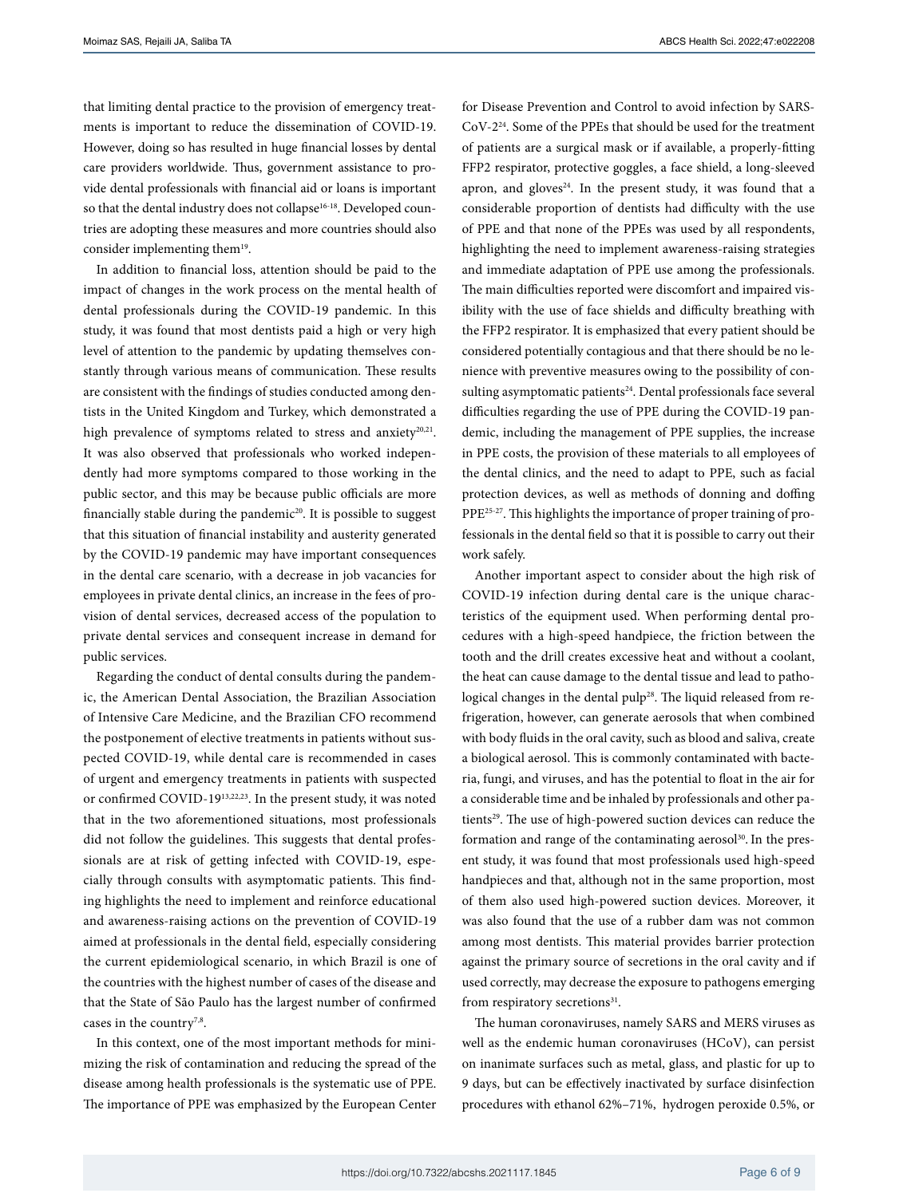that limiting dental practice to the provision of emergency treatments is important to reduce the dissemination of COVID-19. However, doing so has resulted in huge financial losses by dental care providers worldwide. Thus, government assistance to provide dental professionals with financial aid or loans is important so that the dental industry does not collapse<sup>16-18</sup>. Developed countries are adopting these measures and more countries should also consider implementing them<sup>19</sup>.

In addition to financial loss, attention should be paid to the impact of changes in the work process on the mental health of dental professionals during the COVID-19 pandemic. In this study, it was found that most dentists paid a high or very high level of attention to the pandemic by updating themselves constantly through various means of communication. These results are consistent with the findings of studies conducted among dentists in the United Kingdom and Turkey, which demonstrated a high prevalence of symptoms related to stress and anxiety<sup>20,21</sup>. It was also observed that professionals who worked independently had more symptoms compared to those working in the public sector, and this may be because public officials are more financially stable during the pandemic<sup>20</sup>. It is possible to suggest that this situation of financial instability and austerity generated by the COVID-19 pandemic may have important consequences in the dental care scenario, with a decrease in job vacancies for employees in private dental clinics, an increase in the fees of provision of dental services, decreased access of the population to private dental services and consequent increase in demand for public services.

Regarding the conduct of dental consults during the pandemic, the American Dental Association, the Brazilian Association of Intensive Care Medicine, and the Brazilian CFO recommend the postponement of elective treatments in patients without suspected COVID-19, while dental care is recommended in cases of urgent and emergency treatments in patients with suspected or confirmed COVID-1913,22,23. In the present study, it was noted that in the two aforementioned situations, most professionals did not follow the guidelines. This suggests that dental professionals are at risk of getting infected with COVID-19, especially through consults with asymptomatic patients. This finding highlights the need to implement and reinforce educational and awareness-raising actions on the prevention of COVID-19 aimed at professionals in the dental field, especially considering the current epidemiological scenario, in which Brazil is one of the countries with the highest number of cases of the disease and that the State of São Paulo has the largest number of confirmed cases in the country<sup>7,8</sup>.

In this context, one of the most important methods for minimizing the risk of contamination and reducing the spread of the disease among health professionals is the systematic use of PPE. The importance of PPE was emphasized by the European Center

for Disease Prevention and Control to avoid infection by SARS-CoV-224. Some of the PPEs that should be used for the treatment of patients are a surgical mask or if available, a properly-fitting FFP2 respirator, protective goggles, a face shield, a long-sleeved apron, and gloves $24$ . In the present study, it was found that a considerable proportion of dentists had difficulty with the use of PPE and that none of the PPEs was used by all respondents, highlighting the need to implement awareness-raising strategies and immediate adaptation of PPE use among the professionals. The main difficulties reported were discomfort and impaired visibility with the use of face shields and difficulty breathing with the FFP2 respirator. It is emphasized that every patient should be considered potentially contagious and that there should be no lenience with preventive measures owing to the possibility of consulting asymptomatic patients<sup>24</sup>. Dental professionals face several difficulties regarding the use of PPE during the COVID-19 pandemic, including the management of PPE supplies, the increase in PPE costs, the provision of these materials to all employees of the dental clinics, and the need to adapt to PPE, such as facial protection devices, as well as methods of donning and doffing PPE25-27. This highlights the importance of proper training of professionals in the dental field so that it is possible to carry out their work safely.

Another important aspect to consider about the high risk of COVID-19 infection during dental care is the unique characteristics of the equipment used. When performing dental procedures with a high-speed handpiece, the friction between the tooth and the drill creates excessive heat and without a coolant, the heat can cause damage to the dental tissue and lead to pathological changes in the dental pulp<sup>28</sup>. The liquid released from refrigeration, however, can generate aerosols that when combined with body fluids in the oral cavity, such as blood and saliva, create a biological aerosol. This is commonly contaminated with bacteria, fungi, and viruses, and has the potential to float in the air for a considerable time and be inhaled by professionals and other patients<sup>29</sup>. The use of high-powered suction devices can reduce the formation and range of the contaminating aerosol<sup>30</sup>. In the present study, it was found that most professionals used high-speed handpieces and that, although not in the same proportion, most of them also used high-powered suction devices. Moreover, it was also found that the use of a rubber dam was not common among most dentists. This material provides barrier protection against the primary source of secretions in the oral cavity and if used correctly, may decrease the exposure to pathogens emerging from respiratory secretions<sup>31</sup>.

The human coronaviruses, namely SARS and MERS viruses as well as the endemic human coronaviruses (HCoV), can persist on inanimate surfaces such as metal, glass, and plastic for up to 9 days, but can be effectively inactivated by surface disinfection procedures with ethanol 62%–71%, hydrogen peroxide 0.5%, or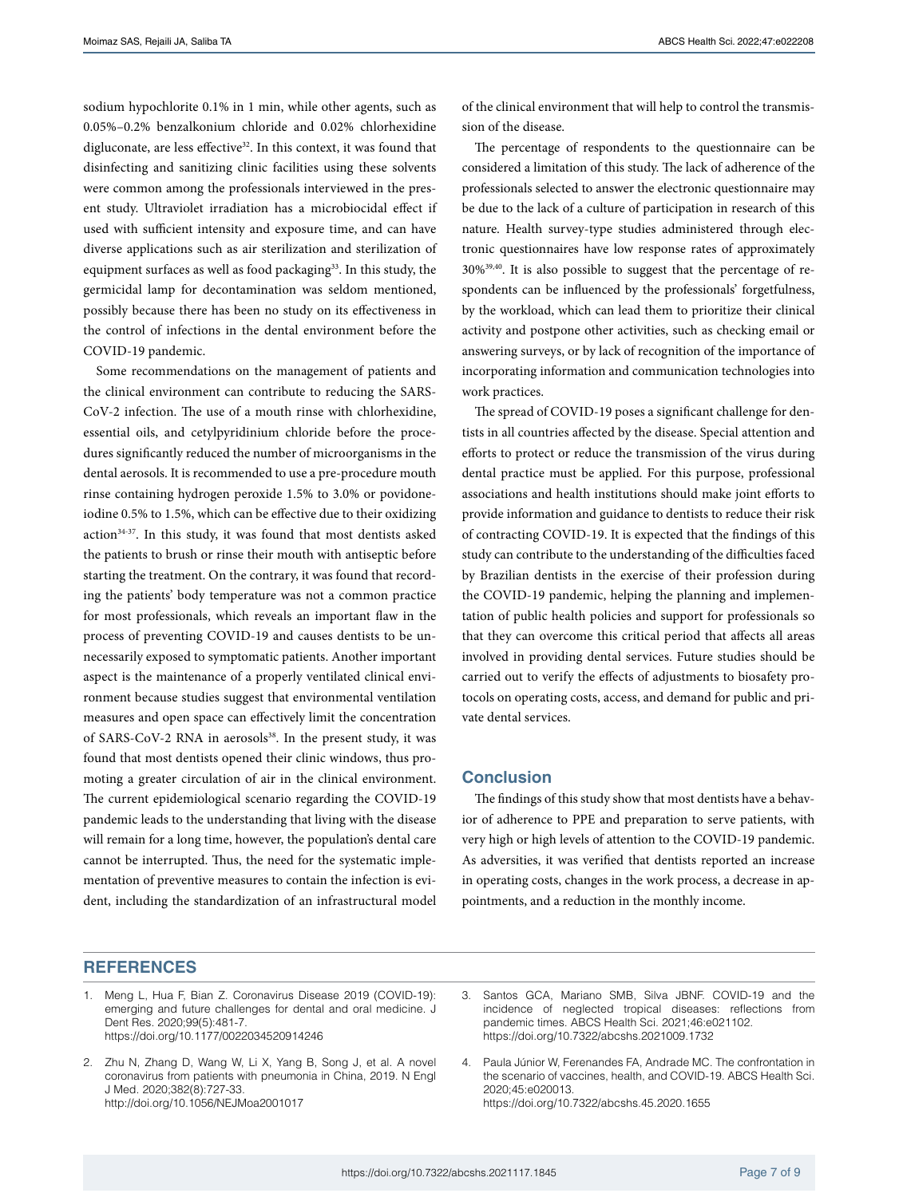sodium hypochlorite 0.1% in 1 min, while other agents, such as 0.05%–0.2% benzalkonium chloride and 0.02% chlorhexidine digluconate, are less effective<sup>32</sup>. In this context, it was found that disinfecting and sanitizing clinic facilities using these solvents were common among the professionals interviewed in the present study. Ultraviolet irradiation has a microbiocidal effect if used with sufficient intensity and exposure time, and can have diverse applications such as air sterilization and sterilization of equipment surfaces as well as food packaging<sup>33</sup>. In this study, the germicidal lamp for decontamination was seldom mentioned, possibly because there has been no study on its effectiveness in the control of infections in the dental environment before the COVID-19 pandemic.

Some recommendations on the management of patients and the clinical environment can contribute to reducing the SARS-CoV-2 infection. The use of a mouth rinse with chlorhexidine, essential oils, and cetylpyridinium chloride before the procedures significantly reduced the number of microorganisms in the dental aerosols. It is recommended to use a pre-procedure mouth rinse containing hydrogen peroxide 1.5% to 3.0% or povidoneiodine 0.5% to 1.5%, which can be effective due to their oxidizing action<sup>34-37</sup>. In this study, it was found that most dentists asked the patients to brush or rinse their mouth with antiseptic before starting the treatment. On the contrary, it was found that recording the patients' body temperature was not a common practice for most professionals, which reveals an important flaw in the process of preventing COVID-19 and causes dentists to be unnecessarily exposed to symptomatic patients. Another important aspect is the maintenance of a properly ventilated clinical environment because studies suggest that environmental ventilation measures and open space can effectively limit the concentration of SARS-CoV-2 RNA in aerosols<sup>38</sup>. In the present study, it was found that most dentists opened their clinic windows, thus promoting a greater circulation of air in the clinical environment. The current epidemiological scenario regarding the COVID-19 pandemic leads to the understanding that living with the disease will remain for a long time, however, the population's dental care cannot be interrupted. Thus, the need for the systematic implementation of preventive measures to contain the infection is evident, including the standardization of an infrastructural model

of the clinical environment that will help to control the transmission of the disease.

The percentage of respondents to the questionnaire can be considered a limitation of this study. The lack of adherence of the professionals selected to answer the electronic questionnaire may be due to the lack of a culture of participation in research of this nature. Health survey-type studies administered through electronic questionnaires have low response rates of approximately 30%39,40. It is also possible to suggest that the percentage of respondents can be influenced by the professionals' forgetfulness, by the workload, which can lead them to prioritize their clinical activity and postpone other activities, such as checking email or answering surveys, or by lack of recognition of the importance of incorporating information and communication technologies into work practices.

The spread of COVID-19 poses a significant challenge for dentists in all countries affected by the disease. Special attention and efforts to protect or reduce the transmission of the virus during dental practice must be applied. For this purpose, professional associations and health institutions should make joint efforts to provide information and guidance to dentists to reduce their risk of contracting COVID-19. It is expected that the findings of this study can contribute to the understanding of the difficulties faced by Brazilian dentists in the exercise of their profession during the COVID-19 pandemic, helping the planning and implementation of public health policies and support for professionals so that they can overcome this critical period that affects all areas involved in providing dental services. Future studies should be carried out to verify the effects of adjustments to biosafety protocols on operating costs, access, and demand for public and private dental services.

### **Conclusion**

The findings of this study show that most dentists have a behavior of adherence to PPE and preparation to serve patients, with very high or high levels of attention to the COVID-19 pandemic. As adversities, it was verified that dentists reported an increase in operating costs, changes in the work process, a decrease in appointments, and a reduction in the monthly income.

# **REFERENCES**

- 1. Meng L, Hua F, Bian Z. Coronavirus Disease 2019 (COVID-19): emerging and future challenges for dental and oral medicine. J Dent Res. 2020;99(5):481-7. <https://doi.org/10.1177/0022034520914246>
- 2. Zhu N, Zhang D, Wang W, Li X, Yang B, Song J, et al. A novel coronavirus from patients with pneumonia in China, 2019. N Engl J Med. 2020;382(8):727-33. <http://doi.org/10.1056/NEJMoa2001017>
- 3. Santos GCA, Mariano SMB, Silva JBNF. COVID-19 and the incidence of neglected tropical diseases: reflections from pandemic times. ABCS Health Sci. 2021;46:e021102. <https://doi.org/10.7322/abcshs.2021009.1732>

4. Paula Júnior W, Ferenandes FA, Andrade MC. The confrontation in the scenario of vaccines, health, and COVID-19. ABCS Health Sci. 2020;45:e020013. <https://doi.org/10.7322/abcshs.45.2020.1655>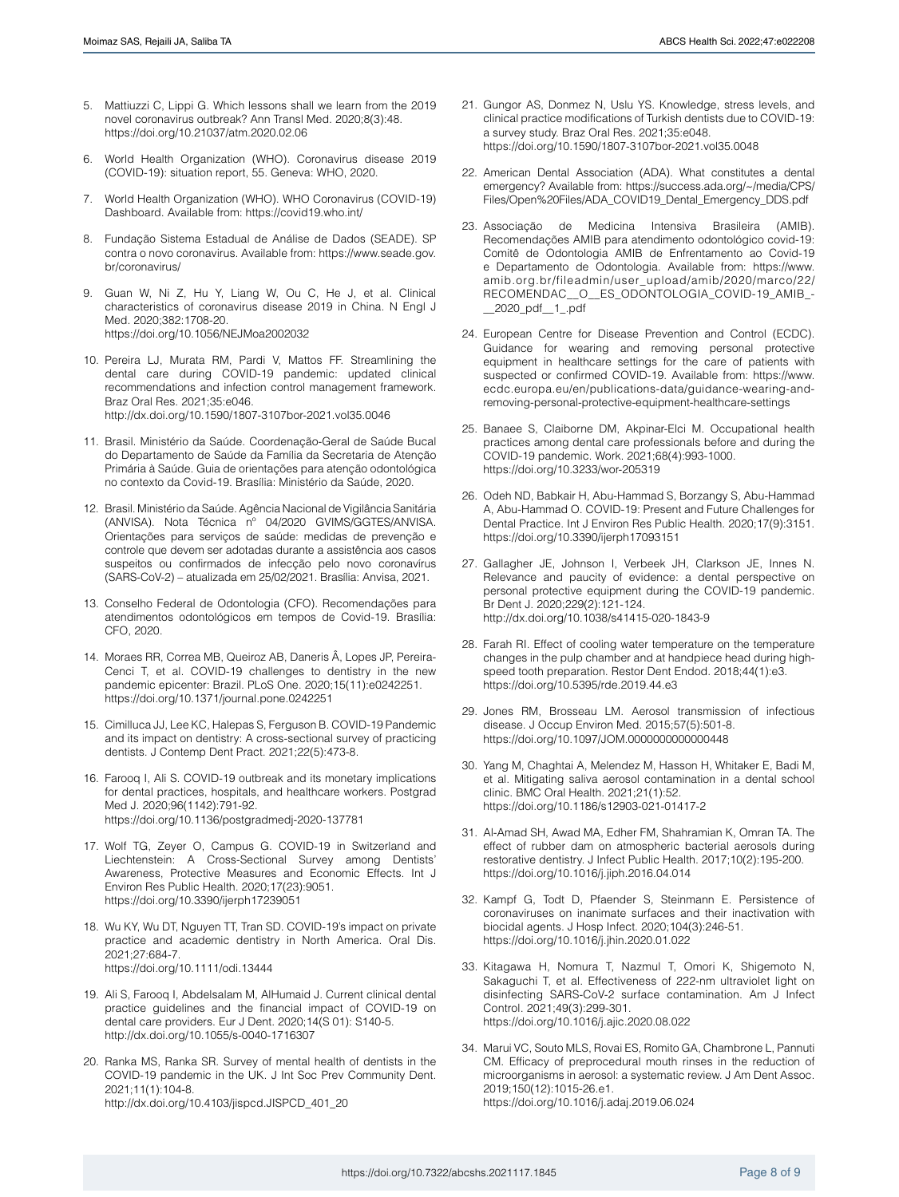- 5. Mattiuzzi C, Lippi G. Which lessons shall we learn from the 2019 novel coronavirus outbreak? Ann Transl Med. 2020;8(3):48. <https://doi.org/10.21037/atm.2020.02.06>
- 6. World Health Organization (WHO). Coronavirus disease 2019 (COVID-19): situation report, 55. Geneva: WHO, 2020.
- 7. World Health Organization (WHO). WHO Coronavirus (COVID-19) Dashboard. Available from: <https://covid19.who.int/>
- 8. Fundação Sistema Estadual de Análise de Dados (SEADE). SP contra o novo coronavirus. Available from: [https://www.seade.gov.](https://www.seade.gov.br/coronavirus/) [br/coronavirus/](https://www.seade.gov.br/coronavirus/)
- 9. Guan W, Ni Z, Hu Y, Liang W, Ou C, He J, et al. Clinical characteristics of coronavirus disease 2019 in China. N Engl J Med. 2020;382:1708-20. <https://doi.org/10.1056/NEJMoa2002032>
- 10. Pereira LJ, Murata RM, Pardi V, Mattos FF. Streamlining the dental care during COVID-19 pandemic: updated clinical recommendations and infection control management framework. Braz Oral Res. 2021;35:e046. <http://dx.doi.org/10.1590/1807-3107bor-2021.vol35.0046>
- 11. Brasil. Ministério da Saúde. Coordenação-Geral de Saúde Bucal do Departamento de Saúde da Família da Secretaria de Atenção Primária à Saúde. Guia de orientações para atenção odontológica no contexto da Covid-19. Brasília: Ministério da Saúde, 2020.
- 12. Brasil. Ministério da Saúde. Agência Nacional de Vigilância Sanitária (ANVISA). Nota Técnica nº 04/2020 GVIMS/GGTES/ANVISA. Orientações para serviços de saúde: medidas de prevenção e controle que devem ser adotadas durante a assistência aos casos suspeitos ou confirmados de infecção pelo novo coronavírus (SARS-CoV-2) – atualizada em 25/02/2021. Brasília: Anvisa, 2021.
- 13. Conselho Federal de Odontologia (CFO). Recomendações para atendimentos odontológicos em tempos de Covid-19. Brasília: CFO, 2020.
- 14. Moraes RR, Correa MB, Queiroz AB, Daneris Â, Lopes JP, Pereira-Cenci T, et al. COVID-19 challenges to dentistry in the new pandemic epicenter: Brazil. PLoS One. 2020;15(11):e0242251. <https://doi.org/10.1371/journal.pone.0242251>
- 15. Cimilluca JJ, Lee KC, Halepas S, Ferguson B. COVID-19 Pandemic and its impact on dentistry: A cross-sectional survey of practicing dentists. J Contemp Dent Pract. 2021;22(5):473-8.
- 16. Farooq I, Ali S. COVID-19 outbreak and its monetary implications for dental practices, hospitals, and healthcare workers. Postgrad Med J. 2020;96(1142):791-92. <https://doi.org/10.1136/postgradmedj-2020-137781>
- 17. Wolf TG, Zeyer O, Campus G. COVID-19 in Switzerland and Liechtenstein: A Cross-Sectional Survey among Dentists' Awareness, Protective Measures and Economic Effects. Int J Environ Res Public Health. 2020;17(23):9051. <https://doi.org/10.3390/ijerph17239051>
- 18. Wu KY, Wu DT, Nguyen TT, Tran SD. COVID-19's impact on private practice and academic dentistry in North America. Oral Dis. 2021;27:684-7. <https://doi.org/10.1111/odi.13444>
- 19. Ali S, Farooq I, Abdelsalam M, AlHumaid J. Current clinical dental practice guidelines and the financial impact of COVID-19 on dental care providers. Eur J Dent. 2020;14(S 01): S140-5. <http://dx.doi.org/10.1055/s-0040-1716307>
- 20. Ranka MS, Ranka SR. Survey of mental health of dentists in the COVID-19 pandemic in the UK. J Int Soc Prev Community Dent. 2021;11(1):104-8. [http://dx.doi.org/10.4103/jispcd.JISPCD\\_401\\_20](http://dx.doi.org/10.4103/jispcd.JISPCD_401_20)
- 21. Gungor AS, Donmez N, Uslu YS. Knowledge, stress levels, and clinical practice modifications of Turkish dentists due to COVID-19: a survey study. Braz Oral Res. 2021;35:e048. <https://doi.org/10.1590/1807-3107bor-2021.vol35.0048>
- 22. American Dental Association (ADA). What constitutes a dental emergency? Available from: [https://success.ada.org/~/media/CPS/](https://success.ada.org/~/media/CPS/Files/Open%20Files/ADA_COVID19_Dental_Emergency_DDS.pdf) [Files/Open%20Files/ADA\\_COVID19\\_Dental\\_Emergency\\_DDS.pdf](https://success.ada.org/~/media/CPS/Files/Open%20Files/ADA_COVID19_Dental_Emergency_DDS.pdf)
- 23. Associação de Medicina Intensiva Brasileira (AMIB). Recomendações AMIB para atendimento odontológico covid-19: Comitê de Odontologia AMIB de Enfrentamento ao Covid-19 e Departamento de Odontologia. Available from: [https://www.](https://www.amib.org.br/fileadmin/user_upload/amib/2020/marco/22/RECOMENDAC__O__ES_ODONTOLOGIA_COVID-19_AMIB_-__2020_pdf__1_.pdf ) [amib.org.br/fileadmin/user\\_upload/amib/2020/marco/22/](https://www.amib.org.br/fileadmin/user_upload/amib/2020/marco/22/RECOMENDAC__O__ES_ODONTOLOGIA_COVID-19_AMIB_-__2020_pdf__1_.pdf ) [RECOMENDAC\\_\\_O\\_\\_ES\\_ODONTOLOGIA\\_COVID-19\\_AMIB\\_-](https://www.amib.org.br/fileadmin/user_upload/amib/2020/marco/22/RECOMENDAC__O__ES_ODONTOLOGIA_COVID-19_AMIB_-__2020_pdf__1_.pdf ) [\\_\\_2020\\_pdf\\_\\_1\\_.pdf](https://www.amib.org.br/fileadmin/user_upload/amib/2020/marco/22/RECOMENDAC__O__ES_ODONTOLOGIA_COVID-19_AMIB_-__2020_pdf__1_.pdf )
- 24. European Centre for Disease Prevention and Control (ECDC). Guidance for wearing and removing personal protective equipment in healthcare settings for the care of patients with suspected or confirmed COVID-19. Available from: [https://www.](https://www.ecdc.europa.eu/en/publications-data/guidance-wearing-and-removing-personal-protective-equipment-healthcare-settings) [ecdc.europa.eu/en/publications-data/guidance-wearing-and](https://www.ecdc.europa.eu/en/publications-data/guidance-wearing-and-removing-personal-protective-equipment-healthcare-settings)[removing-personal-protective-equipment-healthcare-settings](https://www.ecdc.europa.eu/en/publications-data/guidance-wearing-and-removing-personal-protective-equipment-healthcare-settings)
- 25. Banaee S, Claiborne DM, Akpinar-Elci M. Occupational health practices among dental care professionals before and during the COVID-19 pandemic. Work. 2021;68(4):993-1000. <https://doi.org/10.3233/wor-205319>
- 26. Odeh ND, Babkair H, Abu-Hammad S, Borzangy S, Abu-Hammad A, Abu-Hammad O. COVID-19: Present and Future Challenges for Dental Practice. Int J Environ Res Public Health. 2020;17(9):3151. <https://doi.org/10.3390/ijerph17093151>
- 27. Gallagher JE, Johnson I, Verbeek JH, Clarkson JE, Innes N. Relevance and paucity of evidence: a dental perspective on personal protective equipment during the COVID-19 pandemic. Br Dent J. 2020;229(2):121-124. <http://dx.doi.org/10.1038/s41415-020-1843-9>
- 28. Farah RI. Effect of cooling water temperature on the temperature changes in the pulp chamber and at handpiece head during highspeed tooth preparation. Restor Dent Endod. 2018;44(1):e3. <https://doi.org/10.5395/rde.2019.44.e3>
- 29. Jones RM, Brosseau LM. Aerosol transmission of infectious disease. J Occup Environ Med. 2015;57(5):501-8. <https://doi.org/10.1097/JOM.0000000000000448>
- 30. Yang M, Chaghtai A, Melendez M, Hasson H, Whitaker E, Badi M, et al. Mitigating saliva aerosol contamination in a dental school clinic. BMC Oral Health. 2021;21(1):52. <https://doi.org/10.1186/s12903-021-01417-2>
- 31. Al-Amad SH, Awad MA, Edher FM, Shahramian K, Omran TA. The effect of rubber dam on atmospheric bacterial aerosols during restorative dentistry. J Infect Public Health. 2017;10(2):195-200. <https://doi.org/10.1016/j.jiph.2016.04.014>
- 32. Kampf G, Todt D, Pfaender S, Steinmann E. Persistence of coronaviruses on inanimate surfaces and their inactivation with biocidal agents. J Hosp Infect. 2020;104(3):246-51. <https://doi.org/10.1016/j.jhin.2020.01.022>
- 33. Kitagawa H, Nomura T, Nazmul T, Omori K, Shigemoto N, Sakaguchi T, et al. Effectiveness of 222-nm ultraviolet light on disinfecting SARS-CoV-2 surface contamination. Am J Infect Control. 2021;49(3):299-301. <https://doi.org/10.1016/j.ajic.2020.08.022>
- 34. Marui VC, Souto MLS, Rovai ES, Romito GA, Chambrone L, Pannuti CM. Efficacy of preprocedural mouth rinses in the reduction of microorganisms in aerosol: a systematic review. J Am Dent Assoc. 2019;150(12):1015-26.e1. <https://doi.org/10.1016/j.adaj.2019.06.024>